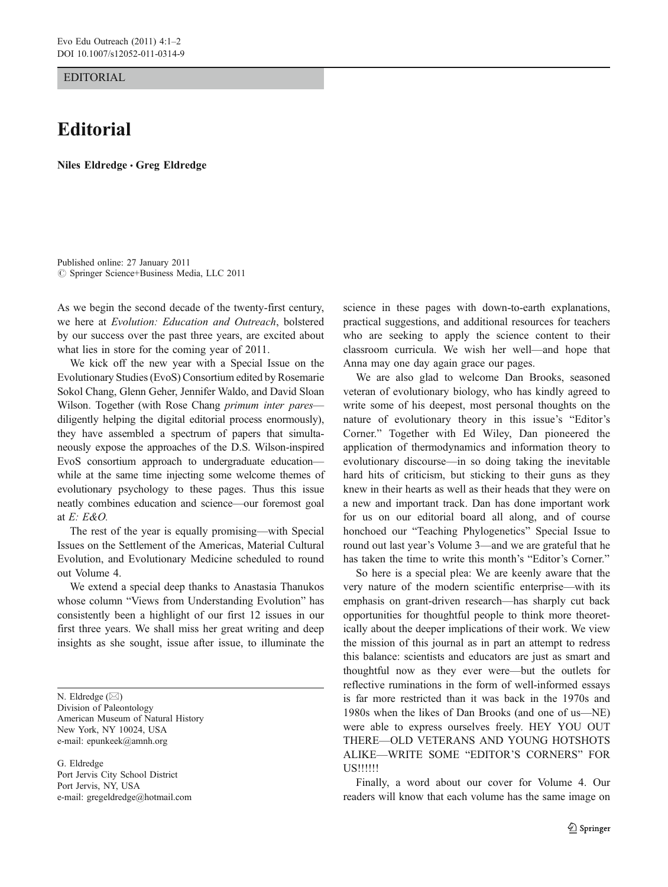EDITORIAL

## **Editorial**

Niles Eldredge & Greg Eldredge

Published online: 27 January 2011  $©$  Springer Science+Business Media, LLC 2011

As we begin the second decade of the twenty-first century, we here at Evolution: Education and Outreach, bolstered by our success over the past three years, are excited about what lies in store for the coming year of 2011.

We kick off the new year with a Special Issue on the Evolutionary Studies (EvoS) Consortium edited by Rosemarie Sokol Chang, Glenn Geher, Jennifer Waldo, and David Sloan Wilson. Together (with Rose Chang *primum inter pares* diligently helping the digital editorial process enormously), they have assembled a spectrum of papers that simultaneously expose the approaches of the D.S. Wilson-inspired EvoS consortium approach to undergraduate education while at the same time injecting some welcome themes of evolutionary psychology to these pages. Thus this issue neatly combines education and science—our foremost goal at  $E: E\& O.$ 

The rest of the year is equally promising—with Special Issues on the Settlement of the Americas, Material Cultural Evolution, and Evolutionary Medicine scheduled to round out Volume 4.

We extend a special deep thanks to Anastasia Thanukos whose column "Views from Understanding Evolution" has consistently been a highlight of our first 12 issues in our first three years. We shall miss her great writing and deep insights as she sought, issue after issue, to illuminate the

N. Eldredge  $(\boxtimes)$ Division of Paleontology American Museum of Natural History New York, NY 10024, USA e-mail: epunkeek@amnh.org

G. Eldredge Port Jervis City School District Port Jervis, NY, USA e-mail: gregeldredge@hotmail.com science in these pages with down-to-earth explanations, practical suggestions, and additional resources for teachers who are seeking to apply the science content to their classroom curricula. We wish her well—and hope that Anna may one day again grace our pages.

We are also glad to welcome Dan Brooks, seasoned veteran of evolutionary biology, who has kindly agreed to write some of his deepest, most personal thoughts on the nature of evolutionary theory in this issue's "Editor's Corner." Together with Ed Wiley, Dan pioneered the application of thermodynamics and information theory to evolutionary discourse—in so doing taking the inevitable hard hits of criticism, but sticking to their guns as they knew in their hearts as well as their heads that they were on a new and important track. Dan has done important work for us on our editorial board all along, and of course honchoed our "Teaching Phylogenetics" Special Issue to round out last year's Volume 3—and we are grateful that he has taken the time to write this month's "Editor's Corner."

So here is a special plea: We are keenly aware that the very nature of the modern scientific enterprise—with its emphasis on grant-driven research—has sharply cut back opportunities for thoughtful people to think more theoretically about the deeper implications of their work. We view the mission of this journal as in part an attempt to redress this balance: scientists and educators are just as smart and thoughtful now as they ever were—but the outlets for reflective ruminations in the form of well-informed essays is far more restricted than it was back in the 1970s and 1980s when the likes of Dan Brooks (and one of us—NE) were able to express ourselves freely. HEY YOU OUT THERE—OLD VETERANS AND YOUNG HOTSHOTS ALIKE—WRITE SOME "EDITOR'S CORNERS" FOR US!!!!!!

Finally, a word about our cover for Volume 4. Our readers will know that each volume has the same image on